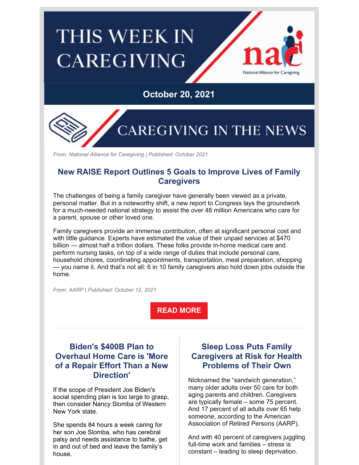# **THIS WEEK IN CAREGIVING**



### **October 20, 2021**



*From: National Alliance for Caregiving | Published: October 2021*

#### **New RAISE Report Outlines 5 Goals to Improve Lives of Family Caregivers**

The challenges of being a family caregiver have generally been viewed as a private, personal matter. But in a noteworthy shift, a new report to Congress lays the groundwork for a much-needed national strategy to assist the over 48 million Americans who care for a parent, spouse or other loved one.

Family caregivers provide an immense contribution, often at significant personal cost and with little guidance. Experts have estimated the value of their unpaid services at \$470 billion — almost half a trillion dollars. These folks provide in-home medical care and perform nursing tasks, on top of a wide range of duties that include personal care, household chores, coordinating appointments, transportation, meal preparation, shopping — you name it. And that's not all: 6 in 10 family caregivers also hold down jobs outside the home.

*From: AARP | Published: October 12, 2021*

**READ [MORE](https://www.aarp.org/caregiving/basics/info-2021/raise-report.html)**

#### **Biden's \$400B Plan to Overhaul Home Care is 'More of a Repair Effort Than a New Direction'**

If the scope of President Joe Biden's social spending plan is too large to grasp, then consider Nancy Slomba of Western New York state.

She spends 84 hours a week caring for her son Joe Slomba, who has cerebral palsy and needs assistance to bathe, get in and out of bed and leave the family's house.

#### **Sleep Loss Puts Family Caregivers at Risk for Health Problems of Their Own**

Nicknamed the "sandwich generation," many older adults over 50 care for both aging parents and children. Caregivers are typically female – some 75 percent. And 17 percent of all adults over 65 help someone, according to the American Association of Retired Persons (AARP).

And with 40 percent of caregivers juggling full-time work and families – stress is constant – leading to sleep deprivation.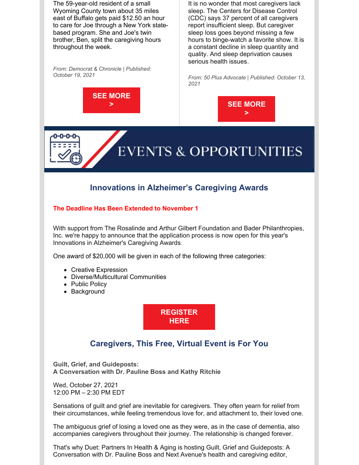The 59-year-old resident of a small Wyoming County town about 35 miles east of Buffalo gets paid \$12.50 an hour to care for Joe through a New York statebased program. She and Joe's twin brother, Ben, split the caregiving hours throughout the week.

*From: Democrat & Chronicle | Published: October 19, 2021*



It is no wonder that most caregivers lack sleep. The Centers for Disease Control (CDC) says 37 percent of all caregivers report insufficient sleep. But caregiver sleep loss goes beyond missing a few hours to binge-watch a favorite show. It is a constant decline in sleep quantity and quality. And sleep deprivation causes serious health issues.

*From: 50 Plus Advocate | Published: October 13, 2021*





## **Innovations in Alzheimer's Caregiving Awards**

**EVENTS & OPPORTUNITIES** 

#### **The Deadline Has Been Extended to November 1**

With support from The Rosalinde and Arthur Gilbert Foundation and Bader Philanthropies, Inc. we're happy to announce that the application process is now open for this year's Innovations in Alzheimer's Caregiving Awards.

One award of \$20,000 will be given in each of the following three categories:

- Creative Expression
- Diverse/Multicultural Communities
- Public Policy
- Background



#### **Caregivers, This Free, Virtual Event is For You**

**Guilt, Grief, and Guideposts: A Conversation with Dr. Pauline Boss and Kathy Ritchie**

Wed, October 27, 2021 12:00 PM – 2:30 PM EDT

Sensations of guilt and grief are inevitable for caregivers. They often yearn for relief from their circumstances, while feeling tremendous love for, and attachment to, their loved one.

The ambiguous grief of losing a loved one as they were, as in the case of dementia, also accompanies caregivers throughout their journey. The relationship is changed forever.

That's why Duet: Partners In Health & Aging is hosting Guilt, Grief and Guideposts: A Conversation with Dr. Pauline Boss and Next Avenue's health and caregiving editor,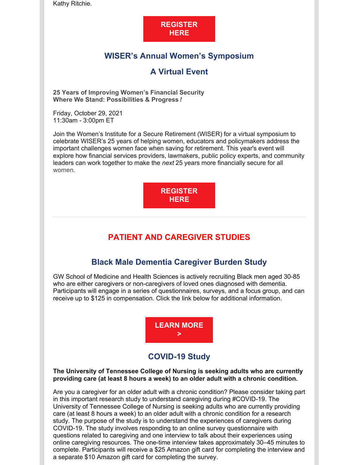Kathy Ritchie.

#### **[REGISTER](https://www.eventbrite.com/e/a-conversation-for-family-caregivers-with-dr-pauline-boss-kathy-ritchie-tickets-166760833141?utm_source=Next+Avenue+Email+Newsletter&utm_campaign=6142f51931-Tuesday_Newsletter_10_12_21&utm_medium=email&utm_term=0_056a405b5a-6142f51931-165343437&mc_cid=6142f51931&mc_eid=e12abf09fd) HERE**

#### **WISER's Annual Women's Symposium**

#### **A Virtual Event**

**25 Years of Improving Women's Financial Security Where We Stand: Possibilities & Progress** *!*

Friday, October 29, 2021 11:30am - 3:00pm ET

Join the Women's Institute for a Secure Retirement (WISER) for a virtual symposium to celebrate WISER's 25 years of helping women, educators and policymakers address the important challenges women face when saving for retirement. This year's event will explore how financial services providers, lawmakers, public policy experts, and community leaders can work together to make the *next* 25 years more financially secure for all women.

> **[REGISTER](https://event.webcasts.com/starthere.jsp?ei=1497194&tp_key=d79359d8d3) HERE**

#### **PATIENT AND CAREGIVER STUDIES**

#### **Black Male Dementia Caregiver Burden Study**

GW School of Medicine and Health Sciences is actively recruiting Black men aged 30-85 who are either caregivers or non-caregivers of loved ones diagnosed with dementia. Participants will engage in a series of questionnaires, surveys, and a focus group, and can receive up to \$125 in compensation. Click the link below for additional information.

> **[LEARN](https://smhsgwu.co1.qualtrics.com/jfe/form/SV_9SPFjnwprvuEXS6) MORE >**

#### **COVID-19 Study**

#### **The University of Tennessee College of Nursing is seeking adults who are currently providing care (at least 8 hours a week) to an older adult with a chronic condition.**

Are you a caregiver for an older adult with a chronic condition? Please consider taking part in this important research study to understand caregiving during #COVID-19. The University of Tennessee College of Nursing is seeking adults who are currently providing care (at least 8 hours a week) to an older adult with a chronic condition for a research study. The purpose of the study is to understand the experiences of caregivers during COVID-19. The study involves responding to an online survey questionnaire with questions related to caregiving and one interview to talk about their experiences using online caregiving resources. The one-time interview takes approximately 30–45 minutes to complete. Participants will receive a \$25 Amazon gift card for completing the interview and a separate \$10 Amazon gift card for completing the survey.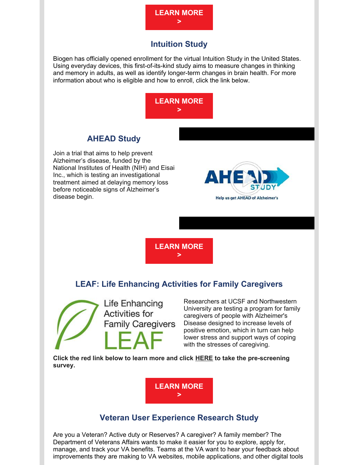

#### **Intuition Study**

Biogen has officially opened enrollment for the virtual Intuition Study in the United States. Using everyday devices, this first-of-its-kind study aims to measure changes in thinking and memory in adults, as well as identify longer-term changes in brain health. For more information about who is eligible and how to enroll, click the link below.



#### **AHEAD Study**

Join a trial that aims to help prevent Alzheimer's disease, funded by the National Institutes of Health (NIH) and Eisai Inc., which is testing an investigational treatment aimed at delaying memory loss before noticeable signs of Alzheimer's disease begin.



**[LEARN](https://www.aheadstudy.org/) MORE >**

#### **LEAF: Life Enhancing Activities for Family Caregivers**

Life Enhancing **Activities for Family Caregivers** 

Researchers at UCSF and Northwestern University are testing a program for family caregivers of people with Alzheimer's Disease designed to increase levels of positive emotion, which in turn can help lower stress and support ways of coping with the stresses of caregiving.

**Click the red link below to learn more and click [HERE](https://redcap.nubic.northwestern.edu/redcap/surveys/index.php?s=4HRKK7JMCX) to take the pre-screening survey.**

> **[LEARN](https://files.constantcontact.com/8b968750201/cf8a699b-f494-499c-bcb7-b7b8677a8b6c.pdf) MORE >**

#### **Veteran User Experience Research Study**

Are you a Veteran? Active duty or Reserves? A caregiver? A family member? The Department of Veterans Affairs wants to make it easier for you to explore, apply for, manage, and track your VA benefits. Teams at the VA want to hear your feedback about improvements they are making to VA websites, mobile applications, and other digital tools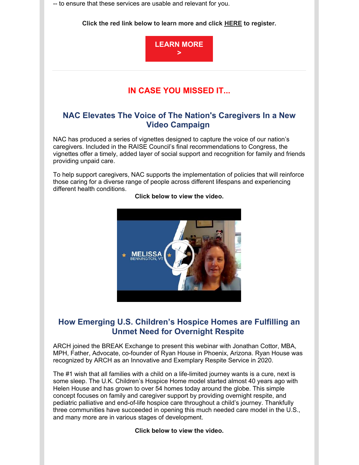-- to ensure that these services are usable and relevant for you.

**Click the red link below to learn more and click [HERE](https://perigeantechnologies.knack.com/vausability-register-form) to register.**



#### **IN CASE YOU MISSED IT...**

#### **NAC Elevates The Voice of The Nation's Caregivers In a New Video Campaign**

NAC has produced a series of vignettes designed to capture the voice of our nation's caregivers. Included in the RAISE Council's final recommendations to Congress, the vignettes offer a timely, added layer of social support and recognition for family and friends providing unpaid care.

To help support caregivers, NAC supports the implementation of policies that will reinforce those caring for a diverse range of people across different lifespans and experiencing different health conditions.



#### **Click below to view the video.**

#### **How Emerging U.S. Children's Hospice Homes are Fulfilling an Unmet Need for Overnight Respite**

ARCH joined the BREAK Exchange to present this webinar with Jonathan Cottor, MBA, MPH, Father, Advocate, co-founder of Ryan House in Phoenix, Arizona. Ryan House was recognized by ARCH as an Innovative and Exemplary Respite Service in 2020.

The #1 wish that all families with a child on a life-limited journey wants is a cure, next is some sleep. The U.K. Children's Hospice Home model started almost 40 years ago with Helen House and has grown to over 54 homes today around the globe. This simple concept focuses on family and caregiver support by providing overnight respite, and pediatric palliative and end-of-life hospice care throughout a child's journey. Thankfully three communities have succeeded in opening this much needed care model in the U.S., and many more are in various stages of development.

**Click below to view the video.**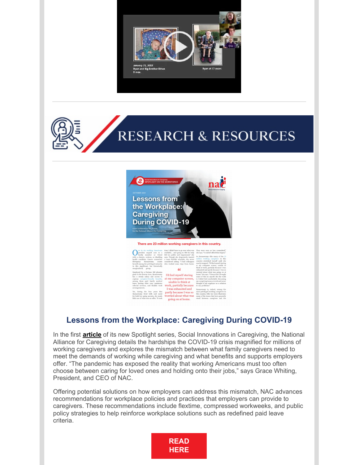





| ne in six working Americans<br>provides unpaid care to a<br>family member or friend<br>with a chronic, serious, or disabling<br>health condition. Cancer researcher<br>Ramaswamy<br>Shivapriya<br>counts<br>herself among the privileged minority<br>in this significant, but historically<br>marginalized,<br>group. | time I didn't have to go over what was<br>available and going to HR for help<br>felt too public and impersonal," she<br>says. Though she desperately wanted<br>a more flexible schedule, she never<br>considered asking. "I had colleagues<br>who worked some days from home.<br>" | They were seen as less commit<br>she says, "I couldn't afford that stig-<br>So Ramaswamy-like many of th-<br>million working caregivers in<br>country-stretched herself until<br>nearly snapped. "I'd find myself sta<br>at my computer screen, unable<br>think at work, partially because I<br>exhausted and partly because I wa |
|-----------------------------------------------------------------------------------------------------------------------------------------------------------------------------------------------------------------------------------------------------------------------------------------------------------------------|------------------------------------------------------------------------------------------------------------------------------------------------------------------------------------------------------------------------------------------------------------------------------------|-----------------------------------------------------------------------------------------------------------------------------------------------------------------------------------------------------------------------------------------------------------------------------------------------------------------------------------|
| Employed by a Fortune 500 pharma<br>giant in the Boston Area, Ramaswamy<br>has a steady salary and access to<br>copious caregiver-friendly benefits,<br>among them paid family medical<br>leave, backup elder care, assistance<br>referral services, and flexible work                                                | I'd find myself staring<br>at my computer screen,<br>unable to think at<br>work, partially because                                                                                                                                                                                 | worried about what was going o<br>home," she says. "I know that I bro<br>some of this on myself. But the t<br>is I didn't feel comfortable discus<br>my caregiving issues at work and n<br>thought of my employer as a solu<br>to my problems."                                                                                   |
| arrangements.<br>Yet, during the four years that<br>Ramaswamy lived with and cared<br>for both her aging parents, she made<br>little use of what was on offer. "It took                                                                                                                                               | I was exhausted and<br>partly because I was so<br>worried about what was<br>going on at home.                                                                                                                                                                                      | Ramaswamy is, indeed, among<br>most privileged working caregiver<br>this country. Still, her story illustr<br>many of the issues that have gener<br>stood between caregivers and                                                                                                                                                  |

#### **Lessons from the Workplace: Caregiving During COVID-19**

In the first **[article](https://www.caregiving.org/lessons-from-the-workplace-caregiving-during-covid-19/)** of its new Spotlight series, Social Innovations in Caregiving, the National Alliance for Caregiving details the hardships the COVID-19 crisis magnified for millions of working caregivers and explores the mismatch between what family caregivers need to meet the demands of working while caregiving and what benefits and supports employers offer. "The pandemic has exposed the reality that working Americans must too often choose between caring for loved ones and holding onto their jobs," says Grace Whiting, President, and CEO of NAC.

Offering potential solutions on how employers can address this mismatch, NAC advances recommendations for workplace policies and practices that employers can provide to caregivers. These recommendations include flextime, compressed workweeks, and public policy strategies to help reinforce workplace solutions such as redefined paid leave criteria.

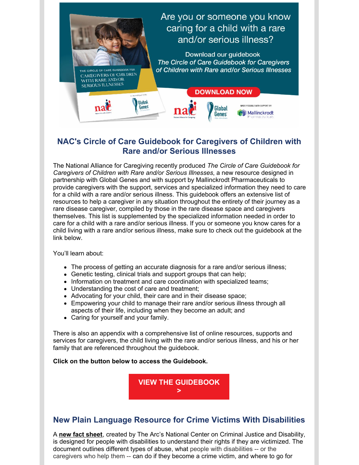

#### **NAC's Circle of Care Guidebook for Caregivers of Children with Rare and/or Serious Illnesses**

The National Alliance for Caregiving recently produced *The Circle of Care Guidebook for Caregivers of Children with Rare and/or Serious Illnesses*, a new resource designed in partnership with Global Genes and with support by Mallinckrodt Pharmaceuticals to provide caregivers with the support, services and specialized information they need to care for a child with a rare and/or serious illness. This guidebook offers an extensive list of resources to help a caregiver in any situation throughout the entirety of their journey as a rare disease caregiver, compiled by those in the rare disease space and caregivers themselves. This list is supplemented by the specialized information needed in order to care for a child with a rare and/or serious illness. If you or someone you know cares for a child living with a rare and/or serious illness, make sure to check out the guidebook at the link below.

You'll learn about:

- The process of getting an accurate diagnosis for a rare and/or serious illness;
- Genetic testing, clinical trials and support groups that can help;
- Information on treatment and care coordination with specialized teams;
- Understanding the cost of care and treatment;
- Advocating for your child, their care and in their disease space;
- Empowering your child to manage their rare and/or serious illness through all aspects of their life, including when they become an adult; and
- Caring for yourself and your family.

There is also an appendix with a comprehensive list of online resources, supports and services for caregivers, the child living with the rare and/or serious illness, and his or her family that are referenced throughout the guidebook.

#### **Click on the button below to access the Guidebook.**



#### **New Plain Language Resource for Crime Victims With Disabilities**

A **new fact [sheet](https://r20.rs6.net/tn.jsp?f=001LaEKxam1QR75UBBechdB6tGULJHx1-PKVXy6pu7lv-va8H1KyX9I-eam6I-UmDAj69ZDfGoh7L34FnAQxPnnyvPqgsyJe_bC1MJtdlHO78-pDhkHGX5YJs-zgDF2iQFh6xrlmCMkpMXOgvgclKIX71gLWrNa6D2lL4u4N8IZgcPu7eTegLDUt26RlBab95Ap3W8iLwqRYh4lu_y3noWzpbgaK_ES_Ldz8aJhrKaRDqsshErz7nuKuvihkluJfXaQrW-U0GH4uqt0E7I3rcekCPn-MZh0xY3RWP7wtmZ8txyIw17X1HSiZw==&c=iiA6A9mRl6dC7zcFr3McO7kEceKLW3sUO1C_ScQXdQ7XhVOICooYbg==&ch=Kxn7DIqf-oTEUk9V0I20WwYJ4T6skZTsqybYyaDgUSFGgGHvIk8osA==)**, created by The Arc's National Center on Criminal Justice and Disability, is designed for people with disabilities to understand their rights if they are victimized. The document outlines different types of abuse, what people with disabilities -- or the caregivers who help them -- can do if they become a crime victim, and where to go for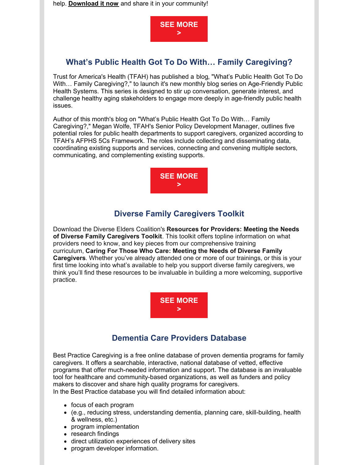help. **[Download](https://r20.rs6.net/tn.jsp?f=001LaEKxam1QR75UBBechdB6tGULJHx1-PKVXy6pu7lv-va8H1KyX9I-eam6I-UmDAj69ZDfGoh7L34FnAQxPnnyvPqgsyJe_bC1MJtdlHO78-pDhkHGX5YJs-zgDF2iQFh6xrlmCMkpMXOgvgclKIX71gLWrNa6D2lL4u4N8IZgcPu7eTegLDUt26RlBab95Ap3W8iLwqRYh4lu_y3noWzpbgaK_ES_Ldz8aJhrKaRDqsshErz7nuKuvihkluJfXaQrW-U0GH4uqt0E7I3rcekCPn-MZh0xY3RWP7wtmZ8txyIw17X1HSiZw==&c=iiA6A9mRl6dC7zcFr3McO7kEceKLW3sUO1C_ScQXdQ7XhVOICooYbg==&ch=Kxn7DIqf-oTEUk9V0I20WwYJ4T6skZTsqybYyaDgUSFGgGHvIk8osA==) it now** and share it in your community!



#### **What's Public Health Got To Do With… Family Caregiving?**

Trust for America's Health (TFAH) has published a [blog](https://afphs.org/whats-public-health-got-to-do-with-healthy-aging/), "What's Public Health Got To Do With… Family Caregiving?," to launch it's new monthly blog series on Age-Friendly Public Health Systems. This series is designed to stir up conversation, generate interest, and challenge healthy aging stakeholders to engage more deeply in age-friendly public health issues.

Author of this month's blog on "What's Public Health Got To Do With… Family Caregiving?," Megan Wolfe, TFAH's Senior Policy Development Manager, outlines five potential roles for public health departments to support caregivers, organized according to TFAH's AFPHS 5Cs Framework. The roles include collecting and disseminating data, coordinating existing supports and services, connecting and convening multiple sectors, communicating, and complementing existing supports.



#### **Diverse Family Caregivers Toolkit**

Download the Diverse Elders Coalition's **[Resources](https://www.diverseelders.org/wp-content/uploads/2021/03/DEC-Toolkit-Final-R2.pdf) for Providers: Meeting the Needs of Diverse Family Caregivers Toolkit**. This toolkit offers topline information on what providers need to know, and key pieces from our comprehensive training [curriculum,](https://www.diverseelders.org/caregiving/#request) **Caring For Those Who Care: Meeting the Needs of Diverse Family Caregivers**. Whether you've already attended one or more of our trainings, or this is your first time looking into what's available to help you support diverse family caregivers, we think you'll find these resources to be invaluable in building a more welcoming, supportive practice.



#### **Dementia Care Providers Database**

Best Practice Caregiving is a free online database of proven dementia programs for family caregivers. It offers a searchable, interactive, national database of vetted, effective programs that offer much-needed information and support. The database is an invaluable tool for healthcare and community-based organizations, as well as funders and policy makers to discover and share high quality programs for caregivers. In the Best Practice database you will find detailed information about:

- focus of each program
- (e.g., reducing stress, understanding dementia, planning care, skill-building, health & wellness, etc.)
- program implementation
- research findings
- direct utilization experiences of delivery sites
- program developer information.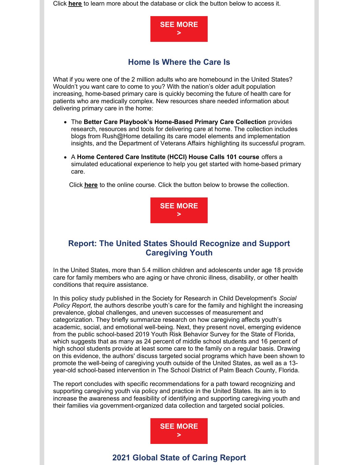Click **[here](https://bpc.caregiver.org/#howToUse)** to learn more about the database or click the button below to access it.



#### **Home Is Where the Care Is**

What if you were one of the 2 million adults who are homebound in the United States? Wouldn't you want care to come to you? With the nation's older adult population increasing, home-based primary care is quickly becoming the future of health care for patients who are medically complex. New resources share needed information about delivering primary care in the home:

- The **Better Care Playbook's [Home-Based](https://na01.safelinks.protection.outlook.com/?url=https%3A%2F%2Fjohnahartford.us6.list-manage.com%2Ftrack%2Fclick%3Fu%3D1e7fafb45696f7675cb6f775b%26id%3D25763f733d%26e%3Dd7ac497e02&data=04%7C01%7C%7Ca8916e4db36a42945f8108d94de8ff3b%7C84df9e7fe9f640afb435aaaaaaaaaaaa%7C1%7C0%7C637626485377970424%7CUnknown%7CTWFpbGZsb3d8eyJWIjoiMC4wLjAwMDAiLCJQIjoiV2luMzIiLCJBTiI6Ik1haWwiLCJXVCI6Mn0%3D%7C1000&sdata=udV6KTIHUDHAtJQHC%2BPhEJPCqUoTS1UZJ%2F6%2FqwdKrts%3D&reserved=0) Primary Care Collection** provides research, resources and tools for delivering care at home. The collection includes blogs from [Rush@Home](https://na01.safelinks.protection.outlook.com/?url=https%3A%2F%2Fjohnahartford.us6.list-manage.com%2Ftrack%2Fclick%3Fu%3D1e7fafb45696f7675cb6f775b%26id%3D38af92e967%26e%3Dd7ac497e02&data=04%7C01%7C%7Ca8916e4db36a42945f8108d94de8ff3b%7C84df9e7fe9f640afb435aaaaaaaaaaaa%7C1%7C0%7C637626485377980379%7CUnknown%7CTWFpbGZsb3d8eyJWIjoiMC4wLjAwMDAiLCJQIjoiV2luMzIiLCJBTiI6Ik1haWwiLCJXVCI6Mn0%3D%7C1000&sdata=x26a%2BL8kOCeoUsz9La4ziHNTJGAQEILcDEuFV0L85ek%3D&reserved=0) detailing its care model elements and implementation insights, and the [Department](https://na01.safelinks.protection.outlook.com/?url=https%3A%2F%2Fjohnahartford.us6.list-manage.com%2Ftrack%2Fclick%3Fu%3D1e7fafb45696f7675cb6f775b%26id%3D075225bc90%26e%3Dd7ac497e02&data=04%7C01%7C%7Ca8916e4db36a42945f8108d94de8ff3b%7C84df9e7fe9f640afb435aaaaaaaaaaaa%7C1%7C0%7C637626485377980379%7CUnknown%7CTWFpbGZsb3d8eyJWIjoiMC4wLjAwMDAiLCJQIjoiV2luMzIiLCJBTiI6Ik1haWwiLCJXVCI6Mn0%3D%7C1000&sdata=Eq7ap%2FaO00go5MQqmerVoRtqt9ptPVF5JbxcEAvcthQ%3D&reserved=0) of Veterans Affairs highlighting its successful program.
- A **Home [Centered](https://na01.safelinks.protection.outlook.com/?url=https%3A%2F%2Fjohnahartford.us6.list-manage.com%2Ftrack%2Fclick%3Fu%3D1e7fafb45696f7675cb6f775b%26id%3Da00b23da86%26e%3Dd7ac497e02&data=04%7C01%7C%7Ca8916e4db36a42945f8108d94de8ff3b%7C84df9e7fe9f640afb435aaaaaaaaaaaa%7C1%7C0%7C637626485377990336%7CUnknown%7CTWFpbGZsb3d8eyJWIjoiMC4wLjAwMDAiLCJQIjoiV2luMzIiLCJBTiI6Ik1haWwiLCJXVCI6Mn0%3D%7C1000&sdata=9jdXOh8uF5cuzHKtE5GNSR3u%2B2AqtlCTAoTZPG1unHc%3D&reserved=0) Care Institute (HCCI) House Calls 101 course** offers a simulated educational experience to help you get started with home-based primary care.

Click **[here](https://education.hccinstitute.org/Public/Catalog/Details.aspx?id=6PvnK37kE5jDvb%2BUNRQkXg%3D%3D)** to the online course. Click the button below to browse the collection.



#### **Report: The United States Should Recognize and Support Caregiving Youth**

In the United States, more than 5.4 million children and adolescents under age 18 provide care for family members who are aging or have chronic illness, disability, or other health conditions that require assistance.

In this policy study published in the Society for Research in Child Development's *Social Policy Report*, the authors describe youth's care for the family and highlight the increasing prevalence, global challenges, and uneven successes of measurement and categorization. They briefly summarize research on how caregiving affects youth's academic, social, and emotional well-being. Next, they present novel, emerging evidence from the public school-based 2019 Youth Risk Behavior Survey for the State of Florida, which suggests that as many as 24 percent of middle school students and 16 percent of high school students provide at least some care to the family on a regular basis. Drawing on this evidence, the authors' discuss targeted social programs which have been shown to promote the well-being of caregiving youth outside of the United States, as well as a 13 year-old school-based intervention in The School District of Palm Beach County, Florida.

The report concludes with specific recommendations for a path toward recognizing and supporting caregiving youth via policy and practice in the United States. Its aim is to increase the awareness and feasibility of identifying and supporting caregiving youth and their families via government-organized data collection and targeted social policies.



#### **2021 Global State of Caring Report**